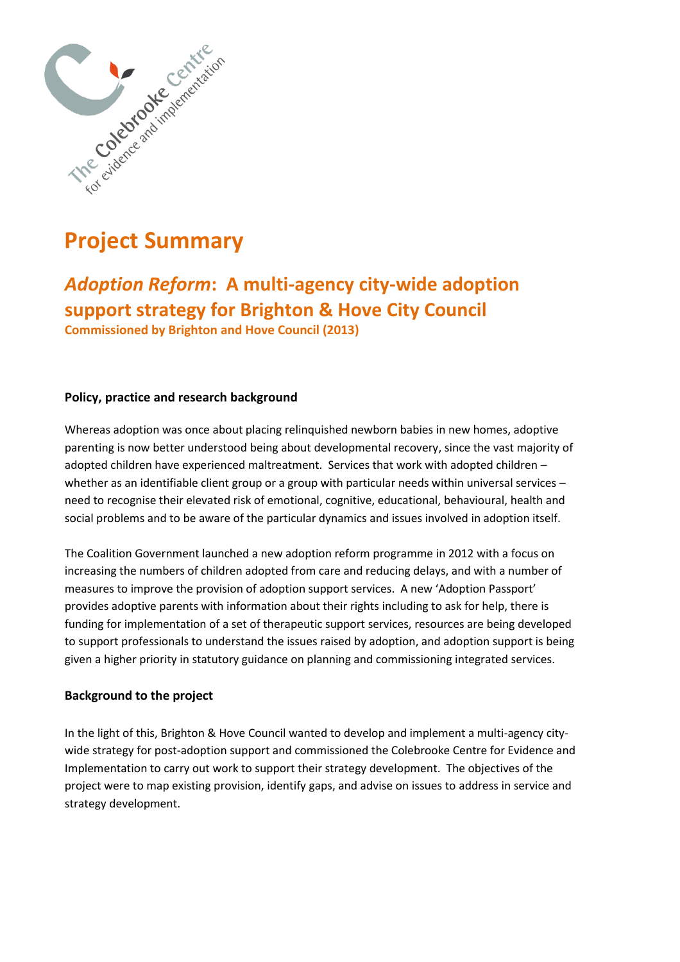

# **Project Summary**

*Adoption Reform***: A multi-agency city-wide adoption support strategy for Brighton & Hove City Council Commissioned by Brighton and Hove Council (2013)**

## **Policy, practice and research background**

Whereas adoption was once about placing relinquished newborn babies in new homes, adoptive parenting is now better understood being about developmental recovery, since the vast majority of adopted children have experienced maltreatment. Services that work with adopted children – whether as an identifiable client group or a group with particular needs within universal services – need to recognise their elevated risk of emotional, cognitive, educational, behavioural, health and social problems and to be aware of the particular dynamics and issues involved in adoption itself.

The Coalition Government launched a new adoption reform programme in 2012 with a focus on increasing the numbers of children adopted from care and reducing delays, and with a number of measures to improve the provision of adoption support services. A new 'Adoption Passport' provides adoptive parents with information about their rights including to ask for help, there is funding for implementation of a set of therapeutic support services, resources are being developed to support professionals to understand the issues raised by adoption, and adoption support is being given a higher priority in statutory guidance on planning and commissioning integrated services.

### **Background to the project**

In the light of this, Brighton & Hove Council wanted to develop and implement a multi-agency citywide strategy for post-adoption support and commissioned the Colebrooke Centre for Evidence and Implementation to carry out work to support their strategy development. The objectives of the project were to map existing provision, identify gaps, and advise on issues to address in service and strategy development.